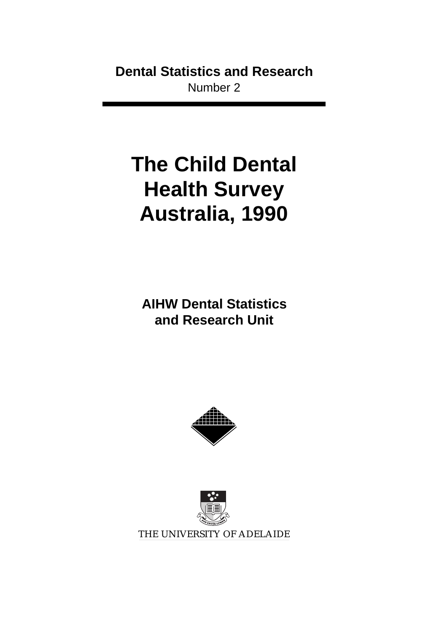# **Dental Statistics and Research** Number 2

# **The Child Dental Health Survey Australia, 1990**

**AIHW Dental Statistics and Research Unit**





THE UNIVERSITY OF ADELAIDE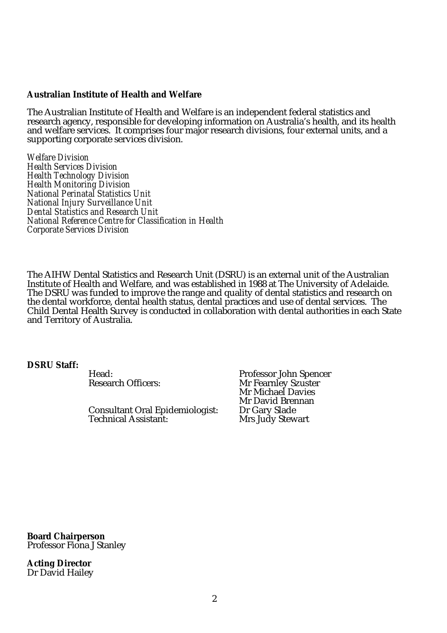#### **Australian Institute of Health and Welfare**

The Australian Institute of Health and Welfare is an independent federal statistics and research agency, responsible for developing information on Australia's health, and its health and welfare services. It comprises four major research divisions, four external units, and a supporting corporate services division.

*Welfare Division Health Services Division Health Technology Division Health Monitoring Division National Perinatal Statistics Unit National Injury Surveillance Unit Dental Statistics and Research Unit National Reference Centre for Classification in Health Corporate Services Division*

The AIHW Dental Statistics and Research Unit (DSRU) is an external unit of the Australian Institute of Health and Welfare, and was established in 1988 at The University of Adelaide. The DSRU was funded to improve the range and quality of dental statistics and research on the dental workforce, dental health status, dental practices and use of dental services. The Child Dental Health Survey is conducted in collaboration with dental authorities in each State and Territory of Australia.

#### **DSRU Staff:**

Consultant Oral Epidemiologist: Dr Gary Slade Technical Assistant:

Head: Professor John Spencer Mr Fearnley Szuster Mr Michael Davies Mr David Brennan<br>Dr Gary Slade

**Board Chairperson** Professor Fiona J Stanley

**Acting Director** Dr David Hailey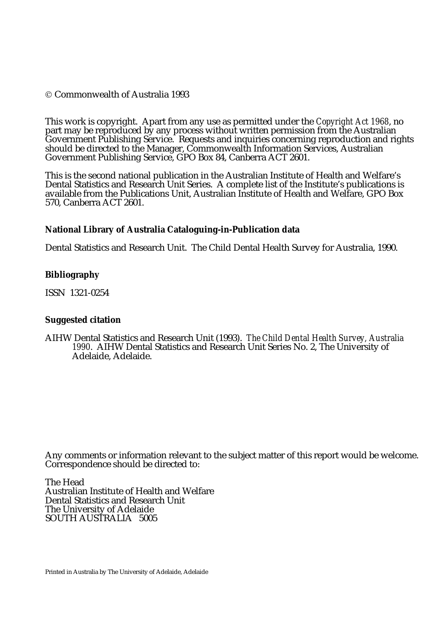#### Commonwealth of Australia 1993

This work is copyright. Apart from any use as permitted under the *Copyright Act 1968*, no part may be reproduced by any process without written permission from the Australian Government Publishing Service. Requests and inquiries concerning reproduction and rights should be directed to the Manager, Commonwealth Information Services, Australian Government Publishing Service, GPO Box 84, Canberra ACT 2601.

This is the second national publication in the Australian Institute of Health and Welfare's Dental Statistics and Research Unit Series. A complete list of the Institute's publications is available from the Publications Unit, Australian Institute of Health and Welfare, GPO Box 570, Canberra ACT 2601.

#### **National Library of Australia Cataloguing-in-Publication data**

Dental Statistics and Research Unit. The Child Dental Health Survey for Australia, 1990.

#### **Bibliography**

ISSN 1321-0254

#### **Suggested citation**

AIHW Dental Statistics and Research Unit (1993). *The Child Dental Health Survey, Australia 1990*. AIHW Dental Statistics and Research Unit Series No. 2, The University of Adelaide, Adelaide.

Any comments or information relevant to the subject matter of this report would be welcome. Correspondence should be directed to:

The Head Australian Institute of Health and Welfare Dental Statistics and Research Unit The University of Adelaide SOUTH AUSTRALIA 5005

Printed in Australia by The University of Adelaide, Adelaide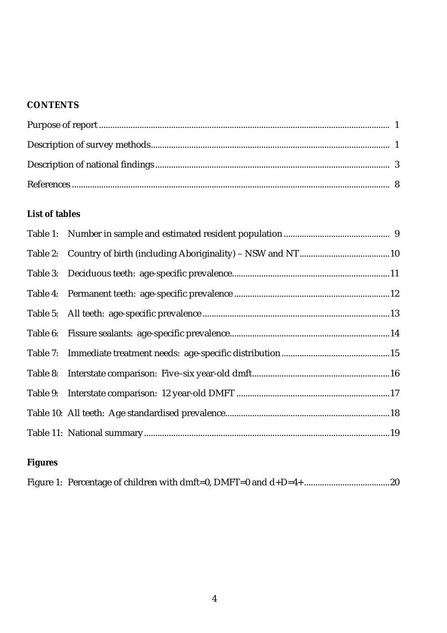## **CONTENTS**

# **List of tables**

# **Figures**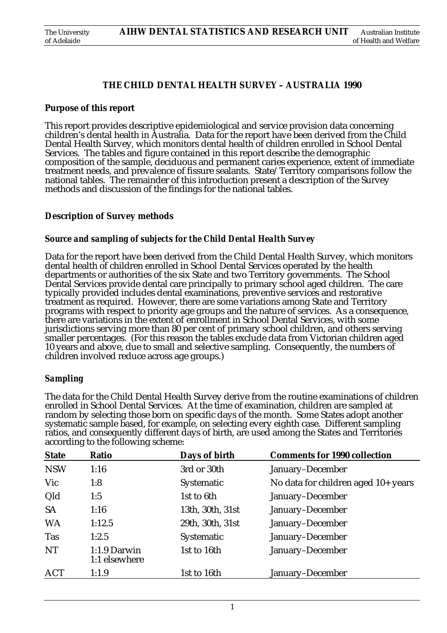#### **THE CHILD DENTAL HEALTH SURVEY – AUSTRALIA 1990**

#### **Purpose of this report**

This report provides descriptive epidemiological and service provision data concerning children's dental health in Australia. Data for the report have been derived from the Child Dental Health Survey, which monitors dental health of children enrolled in School Dental Services. The tables and figure contained in this report describe the demographic composition of the sample, deciduous and permanent caries experience, extent of immediate treatment needs, and prevalence of fissure sealants. State/Territory comparisons follow the national tables. The remainder of this introduction present a description of the Survey methods and discussion of the findings for the national tables.

#### **Description of Survey methods**

#### *Source and sampling of subjects for the Child Dental Health Survey*

Data for the report have been derived from the Child Dental Health Survey, which monitors dental health of children enrolled in School Dental Services operated by the health departments or authorities of the six State and two Territory governments. The School Dental Services provide dental care principally to primary school aged children. The care typically provided includes dental examinations, preventive services and restorative treatment as required. However, there are some variations among State and Territory programs with respect to priority age groups and the nature of services. As a consequence, there are variations in the extent of enrollment in School Dental Services, with some jurisdictions serving more than 80 per cent of primary school children, and others serving smaller percentages. (For this reason the tables exclude data from Victorian children aged 10 years and above, due to small and selective sampling. Consequently, the numbers of children involved reduce across age groups.)

#### *Sampling*

The data for the Child Dental Health Survey derive from the routine examinations of children enrolled in School Dental Services. At the time of examination, children are sampled at random by selecting those born on specific days of the month. Some States adopt another systematic sample based, for example, on selecting every eighth case. Different sampling ratios, and consequently different days of birth, are used among the States and Territories according to the following scheme:

| <b>State</b> | Days of birth<br>Ratio        |                  | <b>Comments for 1990 collection</b> |  |  |
|--------------|-------------------------------|------------------|-------------------------------------|--|--|
| <b>NSW</b>   | 1:16                          | 3rd or 30th      | January-December                    |  |  |
| Vic          | 1:8                           | Systematic       | No data for children aged 10+ years |  |  |
| Qld          | 1:5                           | 1st to 6th       | January-December                    |  |  |
| <b>SA</b>    | 1:16                          | 13th, 30th, 31st | January-December                    |  |  |
| <b>WA</b>    | 1:12.5                        | 29th, 30th, 31st | January-December                    |  |  |
| <b>Tas</b>   | 1:2.5                         | Systematic       | January-December                    |  |  |
| NT           | 1:1.9 Darwin<br>1:1 elsewhere | 1st to 16th      | January-December                    |  |  |
| <b>ACT</b>   | 1:1.9                         | 1st to 16th      | January-December                    |  |  |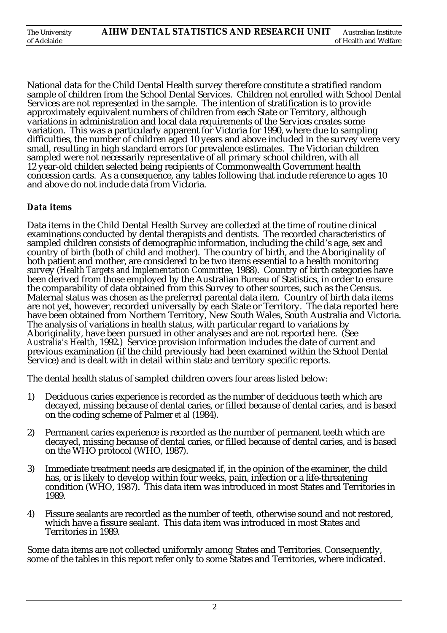National data for the Child Dental Health survey therefore constitute a stratified random sample of children from the School Dental Services. Children not enrolled with School Dental Services are not represented in the sample. The intention of stratification is to provide approximately equivalent numbers of children from each State or Territory, although variations in administration and local data requirements of the Services creates some variation. This was a particularly apparent for Victoria for 1990, where due to sampling difficulties, the number of children aged 10 years and above included in the survey were very small, resulting in high standard errors for prevalence estimates. The Victorian children sampled were not necessarily representative of all primary school children, with all 12 year-old childen selected being recipients of Commonwealth Government health concession cards. As a consequence, any tables following that include reference to ages 10 and above do not include data from Victoria.

#### *Data items*

Data items in the Child Dental Health Survey are collected at the time of routine clinical examinations conducted by dental therapists and dentists. The recorded characteristics of sampled children consists of demographic information, including the child's age, sex and country of birth (both of child and mother). The country of birth, and the Aboriginality of both patient and mother, are considered to be two items essential to a health monitoring survey (*Health Targets and Implementation Committee*, 1988). Country of birth categories have been derived from those employed by the Australian Bureau of Statistics, in order to ensure the comparability of data obtained from this Survey to other sources, such as the Census. Maternal status was chosen as the preferred parental data item. Country of birth data items are not yet, however, recorded universally by each State or Territory. The data reported here have been obtained from Northern Territory, New South Wales, South Australia and Victoria. The analysis of variations in health status, with particular regard to variations by Aboriginality, have been pursued in other analyses and are not reported here. (See *Australia's Health*, 1992.) Service provision information includes the date of current and previous examination (if the child previously had been examined within the School Dental Service) and is dealt with in detail within state and territory specific reports.

The dental health status of sampled children covers four areas listed below:

- 1) Deciduous caries experience is recorded as the number of deciduous teeth which are decayed, missing because of dental caries, or filled because of dental caries, and is based on the coding scheme of Palmer *et al* (1984).
- 2) Permanent caries experience is recorded as the number of permanent teeth which are decayed, missing because of dental caries, or filled because of dental caries, and is based on the WHO protocol (WHO, 1987).
- 3) Immediate treatment needs are designated if, in the opinion of the examiner, the child has, or is likely to develop within four weeks, pain, infection or a life-threatening condition (WHO, 1987). This data item was introduced in most States and Territories in 1989.
- 4) Fissure sealants are recorded as the number of teeth, otherwise sound and not restored, which have a fissure sealant. This data item was introduced in most States and Territories in 1989.

Some data items are not collected uniformly among States and Territories. Consequently, some of the tables in this report refer only to some States and Territories, where indicated.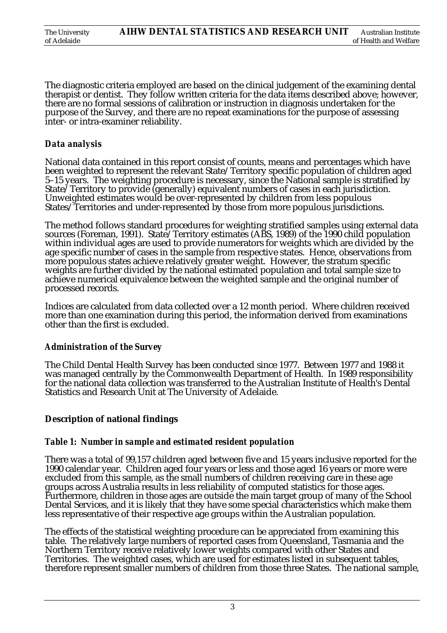| The University | AIHW DENTAL STATISTICS AND RESEARCH UNIT | Australian Institute  |
|----------------|------------------------------------------|-----------------------|
| of Adelaide    |                                          | of Health and Welfare |

The diagnostic criteria employed are based on the clinical judgement of the examining dental therapist or dentist. They follow written criteria for the data items described above; however, there are no formal sessions of calibration or instruction in diagnosis undertaken for the purpose of the Survey, and there are no repeat examinations for the purpose of assessing inter- or intra-examiner reliability.

#### *Data analysis*

National data contained in this report consist of counts, means and percentages which have been weighted to represent the relevant State/Territory specific population of children aged<br>5-15 years. The weighting procedure is necessary, since the National sample is stratified by State/Territory to provide (generally) equivalent numbers of cases in each jurisdiction. Unweighted estimates would be over-represented by children from less populous States/Territories and under-represented by those from more populous jurisdictions.

The method follows standard procedures for weighting stratified samples using external data sources (Foreman, 1991). State/Territory estimates (ABS, 1989) of the 1990 child population within individual ages are used to provide numerators for weights which are divided by the age specific number of cases in the sample from respective states. Hence, observations from more populous states achieve relatively greater weight. However, the stratum specific weights are further divided by the national estimated population and total sample size to achieve numerical equivalence between the weighted sample and the original number of processed records.

Indices are calculated from data collected over a 12 month period. Where children received more than one examination during this period, the information derived from examinations other than the first is excluded.

#### *Administration of the Survey*

The Child Dental Health Survey has been conducted since 1977. Between 1977 and 1988 it was managed centrally by the Commonwealth Department of Health. In 1989 responsibility for the national data collection was transferred to the Australian Institute of Health's Dental Statistics and Research Unit at The University of Adelaide.

#### **Description of national findings**

#### *Table 1: Number in sample and estimated resident population*

There was a total of 99,157 children aged between five and 15 years inclusive reported for the 1990 calendar year. Children aged four years or less and those aged 16 years or more were excluded from this sample, as the small numbers of children receiving care in these age groups across Australia results in less reliability of computed statistics for those ages. Furthermore, children in those ages are outside the main target group of many of the School Dental Services, and it is likely that they have some special characteristics which make them less representative of their respective age groups within the Australian population.

The effects of the statistical weighting procedure can be appreciated from examining this table. The relatively large numbers of reported cases from Queensland, Tasmania and the Northern Territory receive relatively lower weights compared with other States and Territories. The weighted cases, which are used for estimates listed in subsequent tables, therefore represent smaller numbers of children from those three States. The national sample,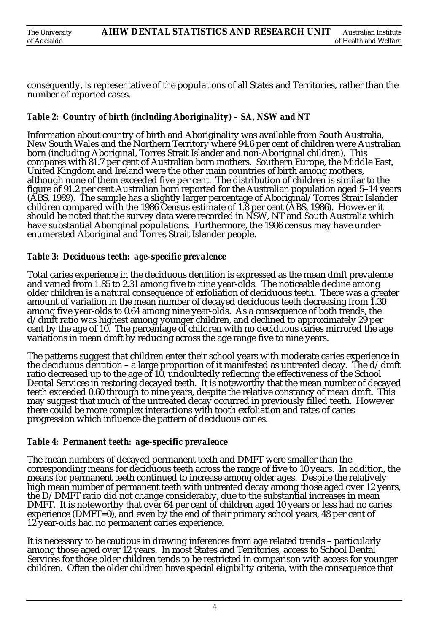consequently, is representative of the populations of all States and Territories, rather than the number of reported cases.

### *Table 2: Country of birth (including Aboriginality) – SA, NSW and NT*

Information about country of birth and Aboriginality was available from South Australia, New South Wales and the Northern Territory where 94.6 per cent of children were Australian born (including Aboriginal, Torres Strait Islander and non-Aboriginal children). This compares with 81.7 per cent of Australian born mothers. Southern Europe, the Middle East, United Kingdom and Ireland were the other main countries of birth among mothers, although none of them exceeded five per cent. The distribution of children is similar to the figure of 91.2 per cent Australian born reported for the Australian population aged 5–14 years (ABS, 1989). The sample has a slightly larger percentage of Aboriginal/Torres Strait Islander children compared with the 1986 Census estimate of 1.8 per cent (ABS, 1986). However it should be noted that the survey data were recorded in NSW, NT and South Australia which have substantial Aboriginal populations. Furthermore, the 1986 census may have underenumerated Aboriginal and Torres Strait Islander people.

#### *Table 3: Deciduous teeth: age-specific prevalence*

Total caries experience in the deciduous dentition is expressed as the mean dmft prevalence and varied from 1.85 to 2.31 among five to nine year-olds. The noticeable decline among older children is a natural consequence of exfoliation of deciduous teeth. There was a greater amount of variation in the mean number of decayed deciduous teeth decreasing from 1.30 among five year-olds to 0.64 among nine year-olds. As a consequence of both trends, the d/dmft ratio was highest among younger children, and declined to approximately 29 per cent by the age of 10. The percentage of children with no deciduous caries mirrored the age variations in mean dmft by reducing across the age range five to nine years.

The patterns suggest that children enter their school years with moderate caries experience in the deciduous dentition – a large proportion of it manifested as untreated decay. The  $d/dmft$ ratio decreased up to the age of 10, undoubtedly reflecting the effectiveness of the School Dental Services in restoring decayed teeth. It is noteworthy that the mean number of decayed teeth exceeded 0.60 through to nine years, despite the relative constancy of mean dmft. This may suggest that much of the untreated decay occurred in previously filled teeth. However there could be more complex interactions with tooth exfoliation and rates of caries progression which influence the pattern of deciduous caries.

#### *Table 4: Permanent teeth: age-specific prevalence*

The mean numbers of decayed permanent teeth and DMFT were smaller than the corresponding means for deciduous teeth across the range of five to 10 years. In addition, the means for permanent teeth continued to increase among older ages. Despite the relatively high mean number of permanent teeth with untreated decay among those aged over 12 years, the D/DMFT ratio did not change considerably, due to the substantial increases in mean DMFT. It is noteworthy that over 64 per cent of children aged 10 years or less had no caries experience (DMFT=0), and even by the end of their primary school years, 48 per cent of 12 year-olds had no permanent caries experience.

It is necessary to be cautious in drawing inferences from age related trends – particularly among those aged over 12 years. In most States and Territories, access to School Dental Services for those older children tends to be restricted in comparison with access for younger children. Often the older children have special eligibility criteria, with the consequence that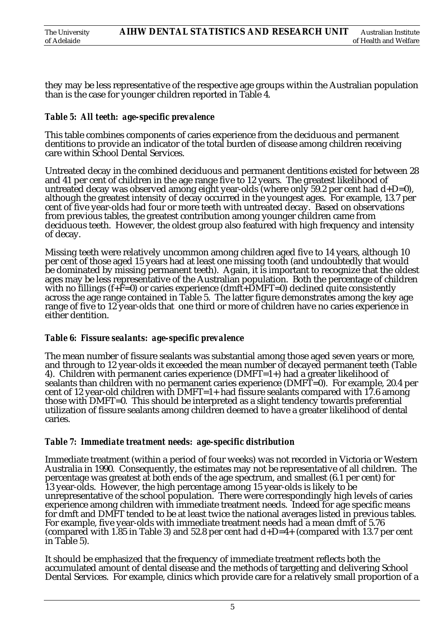| The University | AIHW DENTAL STATISTICS AND RESEARCH UNIT | Australian Institute  |
|----------------|------------------------------------------|-----------------------|
| of Adelaide    |                                          | of Health and Welfare |

they may be less representative of the respective age groups within the Australian population than is the case for younger children reported in Table 4.

#### *Table 5: All teeth: age-specific prevalence*

This table combines components of caries experience from the deciduous and permanent dentitions to provide an indicator of the total burden of disease among children receiving care within School Dental Services.

Untreated decay in the combined deciduous and permanent dentitions existed for between 28 and 41 per cent of children in the age range five to 12 years. The greatest likelihood of untreated decay was observed among eight year-olds (where only 59.2 per cent had d+D=0), although the greatest intensity of decay occurred in the youngest ages. For example, 13.7 per cent of five year-olds had four or more teeth with untreated decay. Based on observations from previous tables, the greatest contribution among younger children came from deciduous teeth. However, the oldest group also featured with high frequency and intensity of decay.

Missing teeth were relatively uncommon among children aged five to 14 years, although 10 per cent of those aged 15 years had at least one missing tooth (and undoubtedly that would be dominated by missing permanent teeth). Again, it is important to recognize that the oldest ages may be less representative of the Australian population. Both the percentage of children with no fillings  $(f+\bar{F}=0)$  or caries experience (dmft+DMFT=0) declined quite consistently across the age range contained in Table 5. The latter figure demonstrates among the key age range of five to 12 year-olds that one third or more of children have no caries experience in either dentition.

#### *Table 6: Fissure sealants: age-specific prevalence*

The mean number of fissure sealants was substantial among those aged seven years or more, and through to 12 year-olds it exceeded the mean number of decayed permanent teeth (Table 4). Children with permanent caries experience (DMFT=1+) had a greater likelihood of sealants than children with no permanent caries experience (DMFT=0). For example, 20.4 per cent of 12 year-old children with DMFT=1+ had fissure sealants compared with 17.6 among those with DMFT=0. This should be interpreted as a slight tendency towards preferential utilization of fissure sealants among children deemed to have a greater likelihood of dental caries.

#### *Table 7: Immediate treatment needs: age-specific distribution*

Immediate treatment (within a period of four weeks) was not recorded in Victoria or Western Australia in 1990. Consequently, the estimates may not be representative of all children. The percentage was greatest at both ends of the age spectrum, and smallest (6.1 per cent) for 13 year-olds. However, the high percentage among 15 year-olds is likely to be unrepresentative of the school population. There were correspondingly high levels of caries experience among children with immediate treatment needs. Indeed for age specific means for dmft and DMFT tended to be at least twice the national averages listed in previous tables. For example, five year-olds with immediate treatment needs had a mean dmft of 5.76 (compared with 1.85 in Table 3) and 52.8 per cent had  $d+D=4+$  (compared with 13.7 per cent in Table 5).

It should be emphasized that the frequency of immediate treatment reflects both the accumulated amount of dental disease and the methods of targetting and delivering School Dental Services. For example, clinics which provide care for a relatively small proportion of a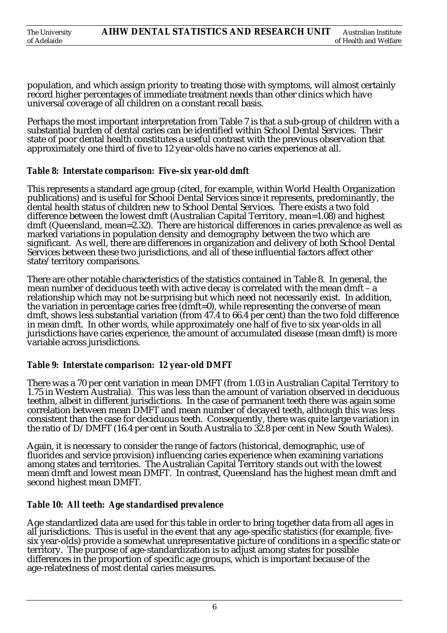population, and which assign priority to treating those with symptoms, will almost certainly record higher percentages of immediate treatment needs than other clinics which have universal coverage of all children on a constant recall basis.

Perhaps the most important interpretation from Table 7 is that a sub-group of children with a substantial burden of dental caries can be identified within School Dental Services. Their state of poor dental health constitutes a useful contrast with the previous observation that approximately one third of five to 12 year-olds have no caries experience at all.

#### *Table 8: Interstate comparison: Five–six year-old dmft*

This represents a standard age group (cited, for example, within World Health Organization publications) and is useful for School Dental Services since it represents, predominantly, the dental health status of children new to School Dental Services. There exists a two fold difference between the lowest dmft (Australian Capital Territory, mean=1.08) and highest dmft (Queensland, mean=2.32). There are historical differences in caries prevalence as well as marked variations in population density and demography between the two which are significant. As well, there are differences in organization and delivery of both School Dental Services between these two jurisdictions, and all of these influential factors affect other state/territory comparisons.

There are other notable characteristics of the statistics contained in Table 8. In general, the mean number of deciduous teeth with active decay is correlated with the mean dmft – a relationship which may not be surprising but which need not necessarily exist. In addition, the variation in percentage caries free (dmft=0), while representing the converse of mean dmft, shows less substantial variation (from 47.4 to 66.4 per cent) than the two fold difference in mean dmft. In other words, while approximately one half of five to six year-olds in all jurisdictions have caries experience, the amount of accumulated disease (mean dmft) is more variable across jurisdictions.

#### *Table 9: Interstate comparison: 12 year-old DMFT*

There was a 70 per cent variation in mean DMFT (from 1.03 in Australian Capital Territory to 1.75 in Western Australia). This was less than the amount of variation observed in deciduous teethm, albeit in different jurisdictions. In the case of permanent teeth there was again some correlation between mean DMFT and mean number of decayed teeth, although this was less consistent than the case for deciduous teeth. Consequently, there was quite large variation in the ratio of  $D/DMFT$  (16.4 per cent in South Australia to 32.8 per cent in New South Wales).

Again, it is necessary to consider the range of factors (historical, demographic, use of fluorides and service provision) influencing caries experience when examining variations among states and territories. The Australian Capital Territory stands out with the lowest mean dmft and lowest mean DMFT. In contrast, Queensland has the highest mean dmft and second highest mean DMFT.

#### *Table 10: All teeth: Age standardised prevalence*

Age standardized data are used for this table in order to bring together data from all ages in all jurisdictions. This is useful in the event that any age-specific statistics (for example, fivesix year-olds) provide a somewhat unrepresentative picture of conditions in a specific state or territory. The purpose of age-standardization is to adjust among states for possible differences in the proportion of specific age groups, which is important because of the age-relatedness of most dental caries measures.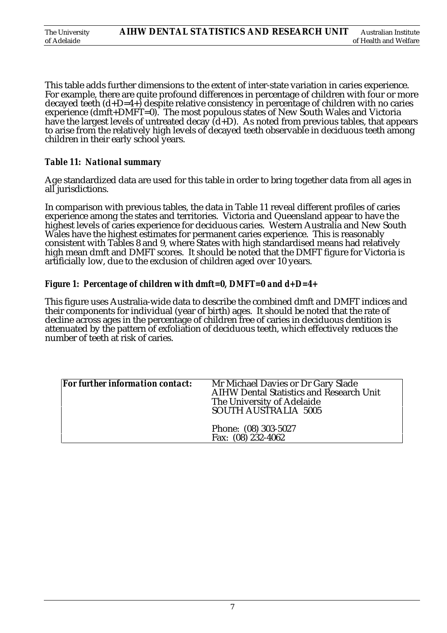| The University | AIHW DENTAL STATISTICS AND RESEARCH UNIT | Australian Institute  |
|----------------|------------------------------------------|-----------------------|
| of Adelaide    |                                          | of Health and Welfare |

This table adds further dimensions to the extent of inter-state variation in caries experience. For example, there are quite profound differences in percentage of children with four or more decayed teeth  $(d+D=4+)$  despite relative consistency in percentage of children with no caries experience (dmft+DMFT=0). The most populous states of New South Wales and Victoria have the largest levels of untreated decay (d+D). As noted from previous tables, that appears to arise from the relatively high levels of decayed teeth observable in deciduous teeth among children in their early school years.

#### *Table 11: National summary*

Age standardized data are used for this table in order to bring together data from all ages in all jurisdictions.

In comparison with previous tables, the data in Table 11 reveal different profiles of caries experience among the states and territories. Victoria and Queensland appear to have the highest levels of caries experience for deciduous caries. Western Australia and New South Wales have the highest estimates for permanent caries experience. This is reasonably consistent with Tables 8 and 9, where States with high standardised means had relatively high mean dmft and DMFT scores. It should be noted that the DMFT figure for Victoria is artificially low, due to the exclusion of children aged over 10 years.

#### *Figure 1: Percentage of children with dmft=0, DMFT=0 and d+D=4+*

This figure uses Australia-wide data to describe the combined dmft and DMFT indices and their components for individual (year of birth) ages. It should be noted that the rate of decline across ages in the percentage of children free of caries in deciduous dentition is attenuated by the pattern of exfoliation of deciduous teeth, which effectively reduces the number of teeth at risk of caries.

| For further information contact: | Mr Michael Davies or Dr Gary Slade<br><b>AIHW Dental Statistics and Research Unit</b><br>The University of Adelaide<br>SOUTH AUSTRALIA 5005 |
|----------------------------------|---------------------------------------------------------------------------------------------------------------------------------------------|
|                                  | Phone: (08) 303-5027<br>Fax: (08) 232-4062                                                                                                  |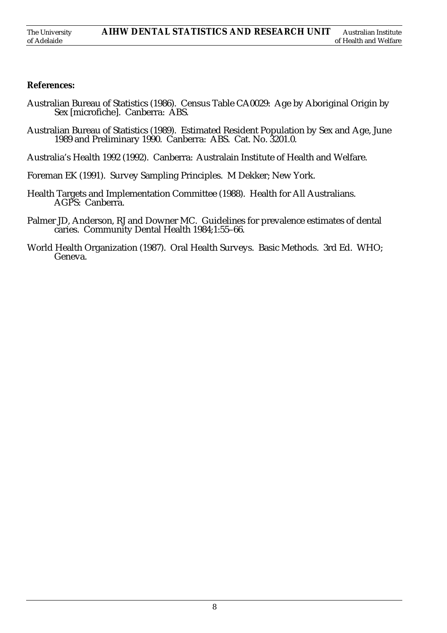#### **References:**

- Australian Bureau of Statistics (1986). Census Table CA0029: Age by Aboriginal Origin by Sex [microfiche]. Canberra: ABS.
- Australian Bureau of Statistics (1989). Estimated Resident Population by Sex and Age, June 1989 and Preliminary 1990. Canberra: ABS. Cat. No. 3201.0.
- Australia's Health 1992 (1992). Canberra: Australain Institute of Health and Welfare.
- Foreman EK (1991). Survey Sampling Principles. M Dekker; New York.
- Health Targets and Implementation Committee (1988). Health for All Australians. AGPS: Canberra.
- Palmer JD, Anderson, RJ and Downer MC. Guidelines for prevalence estimates of dental caries. Community Dental Health 1984;1:55–66.
- World Health Organization (1987). Oral Health Surveys. Basic Methods. 3rd Ed. WHO; Geneva.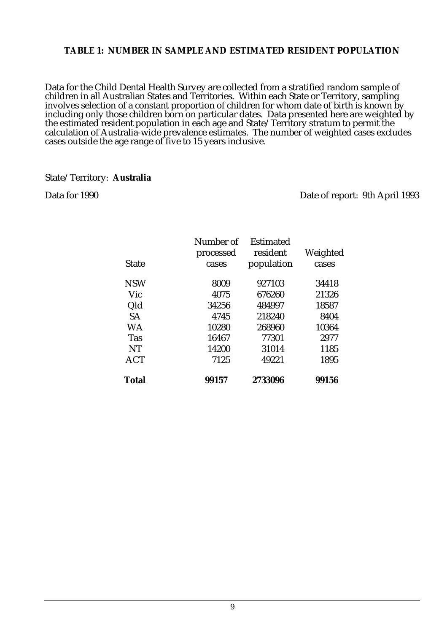#### **TABLE 1: NUMBER IN SAMPLE AND ESTIMATED RESIDENT POPULATION**

Data for the Child Dental Health Survey are collected from a stratified random sample of children in all Australian States and Territories. Within each State or Territory, sampling involves selection of a constant proportion of children for whom date of birth is known by including only those children born on particular dates. Data presented here are weighted by the estimated resident population in each age and State/Territory stratum to permit the calculation of Australia-wide prevalence estimates. The number of weighted cases excludes cases outside the age range of five to 15 years inclusive.

#### State/Territory: **Australia**

Data for 1990 Date of report: 9th April 1993

| State        | Number of<br>processed<br>cases | Estimated<br>resident<br>population | Weighted<br>cases |
|--------------|---------------------------------|-------------------------------------|-------------------|
|              |                                 |                                     |                   |
| <b>NSW</b>   | 8009                            | 927103                              | 34418             |
| Vic          | 4075                            | 676260                              | 21326             |
| Qld          | 34256                           | 484997                              | 18587             |
| <b>SA</b>    | 4745                            | 218240                              | 8404              |
| WA           | 10280                           | 268960                              | 10364             |
| <b>Tas</b>   | 16467                           | 77301                               | 2977              |
| NT           | 14200                           | 31014                               | 1185              |
| <b>ACT</b>   | 7125                            | 49221                               | 1895              |
| <b>Total</b> | 99157                           | 2733096                             | 99156             |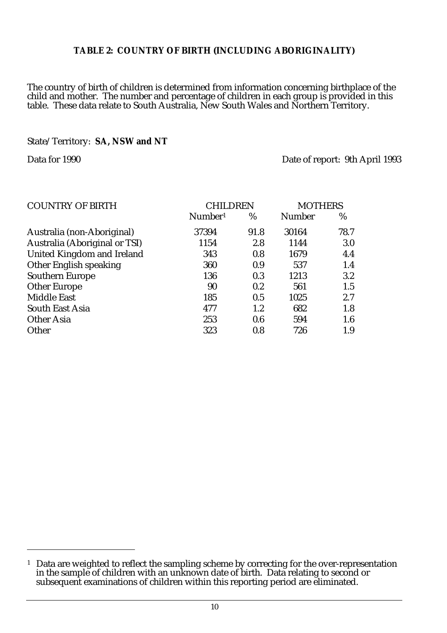#### **TABLE 2: COUNTRY OF BIRTH (INCLUDING ABORIGINALITY)**

The country of birth of children is determined from information concerning birthplace of the child and mother. The number and percentage of children in each group is provided in this table. These data relate to South Australia, New South Wales and Northern Territory.

#### State/Territory: **SA, NSW and NT**

Data for 1990 Date of report: 9th April 1993

| <b>COUNTRY OF BIRTH</b>           | CHILDREN            | <b>MOTHERS</b> |               |      |
|-----------------------------------|---------------------|----------------|---------------|------|
|                                   | Number <sup>1</sup> | %              | <b>Number</b> | %    |
| Australia (non-Aboriginal)        | 37394               | 91.8           | 30164         | 78.7 |
| Australia (Aboriginal or TSI)     | 1154                | 2.8            | 1144          | 3.0  |
| <b>United Kingdom and Ireland</b> | 343                 | 0.8            | 1679          | 4.4  |
| Other English speaking            | 360                 | 0.9            | 537           | 1.4  |
| <b>Southern Europe</b>            | 136                 | 0.3            | 1213          | 3.2  |
| <b>Other Europe</b>               | 90                  | 0.2            | 561           | 1.5  |
| <b>Middle East</b>                | 185                 | 0.5            | 1025          | 2.7  |
| South East Asia                   | 477                 | $1.2\,$        | 682           | 1.8  |
| <b>Other Asia</b>                 | 253                 | 0.6            | 594           | 1.6  |
| Other                             | 323                 | 0.8            | 726           | 1.9  |

<sup>&</sup>lt;sup>1</sup> Data are weighted to reflect the sampling scheme by correcting for the over-representation in the sample of children with an unknown date of birth. Data relating to second or subsequent examinations of children within this reporting period are eliminated.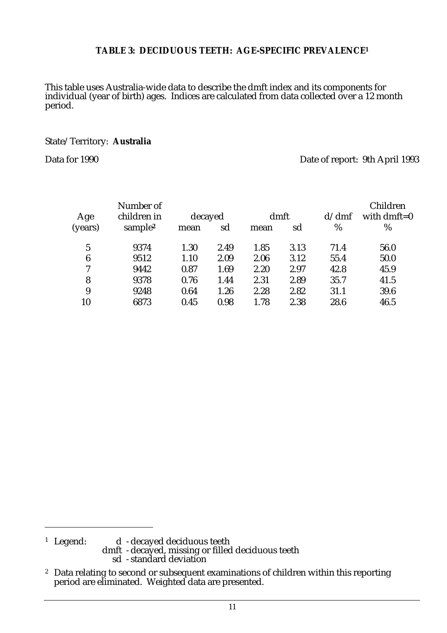#### **TABLE 3: DECIDUOUS TEETH: AGE-SPECIFIC PREVALENCE1**

This table uses Australia-wide data to describe the dmft index and its components for individual (year of birth) ages. Indices are calculated from data collected over a 12 month period.

#### State/Territory: **Australia**

Data for 1990 Date of report: 9th April 1993

|                | Number of                          |                 |      |              |      |             | Children            |
|----------------|------------------------------------|-----------------|------|--------------|------|-------------|---------------------|
| Age<br>(years) | children in<br>sample <sup>2</sup> | decayed<br>mean | sd   | dmft<br>mean | sd   | d/dm f<br>% | with dmft= $0$<br>% |
| 5              | 9374                               | 1.30            | 2.49 | 1.85         | 3.13 | 71.4        | 56.0                |
| 6              | 9512                               | 1.10            | 2.09 | 2.06         | 3.12 | 55.4        | 50.0                |
| 7              | 9442                               | 0.87            | 1.69 | 2.20         | 2.97 | 42.8        | 45.9                |
| 8              | 9378                               | 0.76            | 1.44 | 2.31         | 2.89 | 35.7        | 41.5                |
| 9              | 9248                               | 0.64            | 1.26 | 2.28         | 2.82 | 31.1        | 39.6                |
| 10             | 6873                               | 0.45            | 0.98 | 1.78         | 2.38 | 28.6        | 46.5                |

<sup>1</sup> Legend: d - decayed deciduous teeth

dmft - decayed, missing or filled deciduous teeth sd - standard deviation

<sup>&</sup>lt;sup>2</sup> Data relating to second or subsequent examinations of children within this reporting period are eliminated. Weighted data are presented.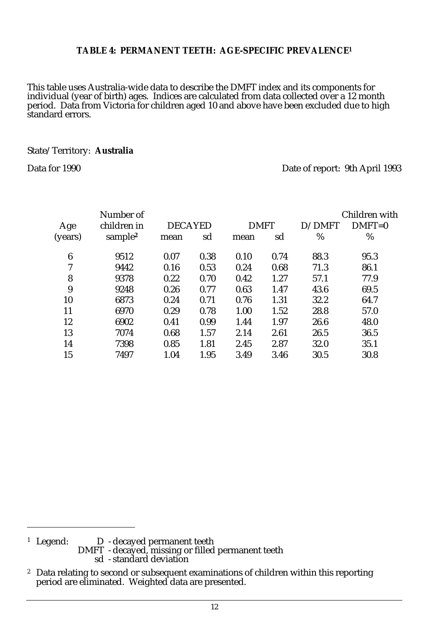#### **TABLE 4: PERMANENT TEETH: AGE-SPECIFIC PREVALENCE1**

This table uses Australia-wide data to describe the DMFT index and its components for individual (year of birth) ages. Indices are calculated from data collected over a 12 month period. Data from Victoria for children aged 10 and above have been excluded due to high standard errors.

#### State/Territory: **Australia**

Data for 1990 Date of report: 9th April 1993

|         | Number of           |                |      |             |      |        | Children with |
|---------|---------------------|----------------|------|-------------|------|--------|---------------|
| Age     | children in         | <b>DECAYED</b> |      | <b>DMFT</b> |      | D/DMFT | $DMFT=0$      |
| (years) | sample <sup>2</sup> | mean           | sd   | mean        | sd   | %      | %             |
| 6       | 9512                | 0.07           | 0.38 | 0.10        | 0.74 | 88.3   | 95.3          |
| 7       | 9442                | 0.16           | 0.53 | 0.24        | 0.68 | 71.3   | 86.1          |
| 8       | 9378                | 0.22           | 0.70 | 0.42        | 1.27 | 57.1   | 77.9          |
| 9       | 9248                | 0.26           | 0.77 | 0.63        | 1.47 | 43.6   | 69.5          |
| 10      | 6873                | 0.24           | 0.71 | 0.76        | 1.31 | 32.2   | 64.7          |
| 11      | 6970                | 0.29           | 0.78 | 1.00        | 1.52 | 28.8   | 57.0          |
| 12      | 6902                | 0.41           | 0.99 | 1.44        | 1.97 | 26.6   | 48.0          |
| 13      | 7074                | 0.68           | 1.57 | 2.14        | 2.61 | 26.5   | 36.5          |
| 14      | 7398                | 0.85           | 1.81 | 2.45        | 2.87 | 32.0   | 35.1          |
| 15      | 7497                | 1.04           | 1.95 | 3.49        | 3.46 | 30.5   | 30.8          |
|         |                     |                |      |             |      |        |               |

<sup>1</sup> Legend: D - decayed permanent teeth DMFT - decayed, missing or filled permanent teeth sd - standard deviation

<sup>&</sup>lt;sup>2</sup> Data relating to second or subsequent examinations of children within this reporting period are eliminated. Weighted data are presented.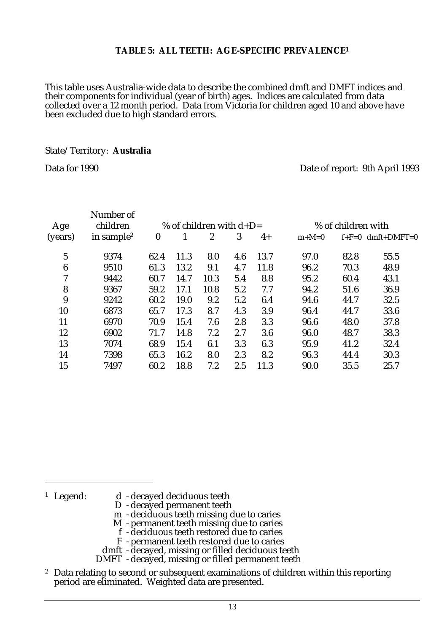#### **TABLE 5: ALL TEETH: AGE-SPECIFIC PREVALENCE1**

This table uses Australia-wide data to describe the combined dmft and DMFT indices and their components for individual (year of birth) ages. Indices are calculated from data collected over a 12 month period. Data from Victoria for children aged 10 and above have been excluded due to high standard errors.

#### State/Territory: **Australia**

Data for 1990 Date of report: 9th April 1993

| Number of              |                  |                           |      |     |      |         |                    |                     |  |  |
|------------------------|------------------|---------------------------|------|-----|------|---------|--------------------|---------------------|--|--|
| children               |                  | % of children with $d+D=$ |      |     |      |         | % of children with |                     |  |  |
| in sample <sup>2</sup> | $\boldsymbol{0}$ |                           | 2    | 3   | $4+$ | $m+M=0$ |                    | $f+F=0$ dmft+DMFT=0 |  |  |
| 9374                   | 62.4             | 11.3                      | 8.0  | 4.6 | 13.7 | 97.0    | 82.8               | 55.5                |  |  |
| 9510                   | 61.3             | 13.2                      | 9.1  | 4.7 | 11.8 | 96.2    | 70.3               | 48.9                |  |  |
| 9442                   | 60.7             | 14.7                      | 10.3 | 5.4 | 8.8  | 95.2    | 60.4               | 43.1                |  |  |
| 9367                   | 59.2             | 17.1                      | 10.8 | 5.2 | 7.7  | 94.2    | 51.6               | 36.9                |  |  |
| 9242                   | 60.2             | 19.0                      | 9.2  | 5.2 | 6.4  | 94.6    | 44.7               | 32.5                |  |  |
| 6873                   | 65.7             | 17.3                      | 8.7  | 4.3 | 3.9  | 96.4    | 44.7               | 33.6                |  |  |
| 6970                   | 70.9             | 15.4                      | 7.6  | 2.8 | 3.3  | 96.6    | 48.0               | 37.8                |  |  |
| 6902                   | 71.7             | 14.8                      | 7.2  | 2.7 | 3.6  | 96.0    | 48.7               | 38.3                |  |  |
| 7074                   | 68.9             | 15.4                      | 6.1  | 3.3 | 6.3  | 95.9    | 41.2               | 32.4                |  |  |
| 7398                   | 65.3             | 16.2                      | 8.0  | 2.3 | 8.2  | 96.3    | 44.4               | 30.3                |  |  |
| 7497                   | 60.2             | 18.8                      | 7.2  | 2.5 | 11.3 | 90.0    | 35.5               | 25.7                |  |  |
|                        |                  |                           |      |     |      |         |                    |                     |  |  |

- <sup>1</sup> Legend: d decayed deciduous teeth
	- D decayed permanent teeth
	- m deciduous teeth missing due to caries
	- M permanent teeth missing due to caries
	- f deciduous teeth restored due to caries
	- F permanent teeth restored due to caries
	- dmft decayed, missing or filled deciduous teeth
	- DMFT decayed, missing or filled permanent teeth
- <sup>2</sup> Data relating to second or subsequent examinations of children within this reporting period are eliminated. Weighted data are presented.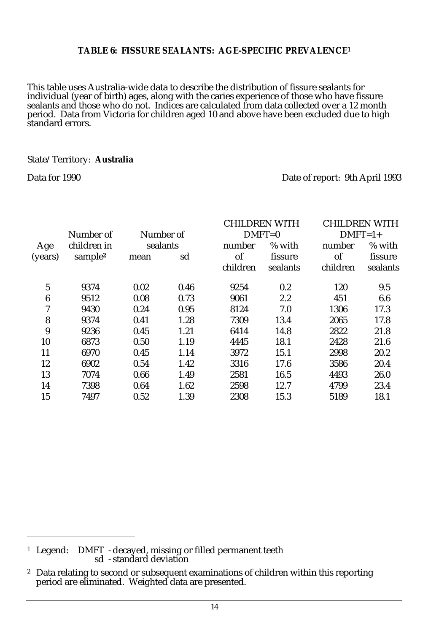#### **TABLE 6: FISSURE SEALANTS: AGE-SPECIFIC PREVALENCE1**

This table uses Australia-wide data to describe the distribution of fissure sealants for individual (year of birth) ages, along with the caries experience of those who have fissure sealants and those who do not. Indices are calculated from data collected over a 12 month period. Data from Victoria for children aged 10 and above have been excluded due to high standard errors.

#### State/Territory: **Australia**

#### Data for 1990 Date of report: 9th April 1993

|                  |                     |          |           |          | <b>CHILDREN WITH</b> |           | <b>CHILDREN WITH</b> |
|------------------|---------------------|----------|-----------|----------|----------------------|-----------|----------------------|
|                  | Number of           |          | Number of |          | $DMFT=0$             | $DMFT=1+$ |                      |
| Age              | children in         | sealants |           | number   | % with               | number    | % with               |
| (years)          | sample <sup>2</sup> | mean     | sd        | of       | fissure              | of        | fissure              |
|                  |                     |          |           | children | sealants             | children  | sealants             |
| $\overline{5}$   | 9374                | 0.02     | 0.46      | 9254     | 0.2                  | 120       | 9.5                  |
| $\boldsymbol{6}$ | 9512                | 0.08     | 0.73      | 9061     | 2.2                  | 451       | 6.6                  |
| 7                | 9430                | 0.24     | 0.95      | 8124     | 7.0                  | 1306      | 17.3                 |
| 8                | 9374                | 0.41     | 1.28      | 7309     | 13.4                 | 2065      | 17.8                 |
| 9                | 9236                | 0.45     | 1.21      | 6414     | 14.8                 | 2822      | 21.8                 |
| 10               | 6873                | 0.50     | 1.19      | 4445     | 18.1                 | 2428      | 21.6                 |
| 11               | 6970                | 0.45     | 1.14      | 3972     | 15.1                 | 2998      | 20.2                 |
| 12               | 6902                | 0.54     | 1.42      | 3316     | 17.6                 | 3586      | 20.4                 |
| 13               | 7074                | 0.66     | 1.49      | 2581     | 16.5                 | 4493      | 26.0                 |
| 14               | 7398                | 0.64     | 1.62      | 2598     | 12.7                 | 4799      | 23.4                 |
| 15               | 7497                | 0.52     | 1.39      | 2308     | 15.3                 | 5189      | 18.1                 |
|                  |                     |          |           |          |                      |           |                      |

<sup>1</sup> Legend: DMFT - decayed, missing or filled permanent teeth sd - standard deviation

<sup>&</sup>lt;sup>2</sup> Data relating to second or subsequent examinations of children within this reporting period are eliminated. Weighted data are presented.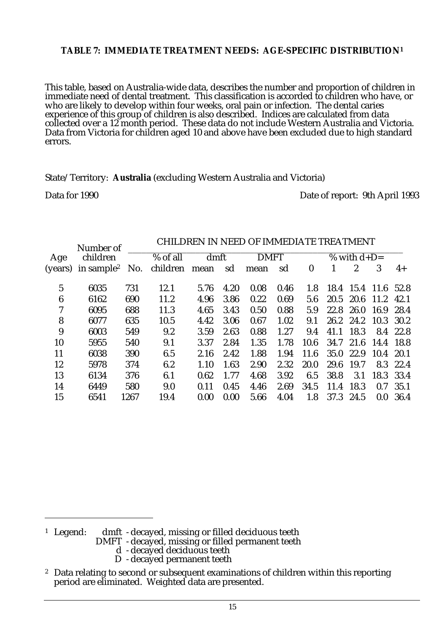#### **TABLE 7: IMMEDIATE TREATMENT NEEDS: AGE-SPECIFIC DISTRIBUTION1**

This table, based on Australia-wide data, describes the number and proportion of children in immediate need of dental treatment. This classification is accorded to children who have, or who are likely to develop within four weeks, oral pain or infection. The dental caries experience of this group of children is also described. Indices are calculated from data collected over a 12 month period. These data do not include Western Australia and Victoria. Data from Victoria for children aged 10 and above have been excluded due to high standard errors.

State/Territory: **Australia** (excluding Western Australia and Victoria)

Data for 1990 Date of report: 9th April 1993

|         | Number of              |          |          |      |      |      |      |                  |      |                |           |          |
|---------|------------------------|----------|----------|------|------|------|------|------------------|------|----------------|-----------|----------|
| Age     | children               | % of all |          |      | dmft |      |      | % with $d+D=$    |      |                |           |          |
| (years) | in sample <sup>2</sup> | No.      | children | mean | sd   | mean | sd   | $\boldsymbol{0}$ |      | $\overline{2}$ | 3         | $4+$     |
| 5       | 6035                   | 731      | 12.1     | 5.76 | 4.20 | 0.08 | 0.46 | 1.8              | 18.4 | 15.4 11.6 52.8 |           |          |
| 6       | 6162                   | 690      | 11.2     | 4.96 | 3.86 | 0.22 | 0.69 | 5.6              | 20.5 | 20.6           | 11.2      | 42.1     |
| 7       | 6095                   | 688      | 11.3     | 4.65 | 3.43 | 0.50 | 0.88 | 5.9              | 22.8 | 26.0           | 16.9      | 28.4     |
| 8       | 6077                   | 635      | 10.5     | 4.42 | 3.06 | 0.67 | 1.02 | 9.1              | 26.2 | 24.2           | 10.3 30.2 |          |
| 9       | 6003                   | 549      | 9.2      | 3.59 | 2.63 | 0.88 | 1.27 | 9.4              | 41.1 | 18.3           | 8.4       | 22.8     |
| 10      | 5955                   | 540      | 9.1      | 3.37 | 2.84 | 1.35 | 1.78 | 10.6             | 34.7 | 21.6           | 14.4      | 18.8     |
| 11      | 6038                   | 390      | 6.5      | 2.16 | 2.42 | 1.88 | 1.94 | 11.6             | 35.0 | 22.9           | 10.4 20.1 |          |
| 12      | 5978                   | 374      | 6.2      | 1.10 | 1.63 | 2.90 | 2.32 | 20.0             | 29.6 | 19.7           |           | 8.3 22.4 |
| 13      | 6134                   | 376      | 6.1      | 0.62 | 1.77 | 4.68 | 3.92 | 6.5              | 38.8 | 3.1            | 18.3 33.4 |          |
| 14      | 6449                   | 580      | 9.0      | 0.11 | 0.45 | 4.46 | 2.69 | 34.5             | 11.4 | 18.3           | 0.7       | 35.1     |
| 15      | 6541                   | 1267     | 19.4     | 0.00 | 0.00 | 5.66 | 4.04 | 1.8              | 37.3 | 24.5           | 0.0       | 36.4     |
|         |                        |          |          |      |      |      |      |                  |      |                |           |          |

#### CHILDREN IN NEED OF IMMEDIATE TREATMENT

<sup>1</sup> Legend: dmft - decayed, missing or filled deciduous teeth

DMFT - decayed, missing or filled permanent teeth

- d decayed deciduous teeth
- D decayed permanent teeth

<sup>&</sup>lt;sup>2</sup> Data relating to second or subsequent examinations of children within this reporting period are eliminated. Weighted data are presented.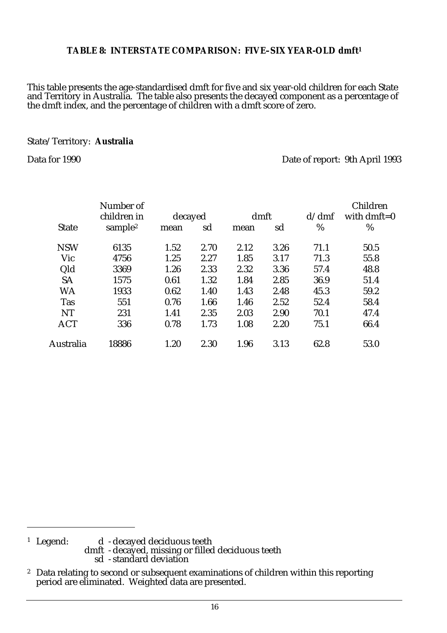#### **TABLE 8: INTERSTATE COMPARISON: FIVE–SIX YEAR-OLD dmft1**

This table presents the age-standardised dmft for five and six year-old children for each State and Territory in Australia. The table also presents the decayed component as a percentage of the dmft index, and the percentage of children with a dmft score of zero.

#### State/Territory: **Australia**

Data for 1990 Date of report: 9th April 1993

|              | Children       |
|--------------|----------------|
| d/dm f       |                |
| $\%$<br>$\%$ |                |
| 71.1<br>50.5 |                |
| 71.3<br>55.8 |                |
| 57.4<br>48.8 |                |
| 36.9<br>51.4 |                |
| 59.2<br>45.3 |                |
| 52.4<br>58.4 |                |
| 70.1<br>47.4 |                |
| 75.1<br>66.4 |                |
| 62.8<br>53.0 |                |
|              | with dmft= $0$ |

<sup>1</sup> Legend: d - decayed deciduous teeth dmft - decayed, missing or filled deciduous teeth sd - standard deviation

<sup>&</sup>lt;sup>2</sup> Data relating to second or subsequent examinations of children within this reporting period are eliminated. Weighted data are presented.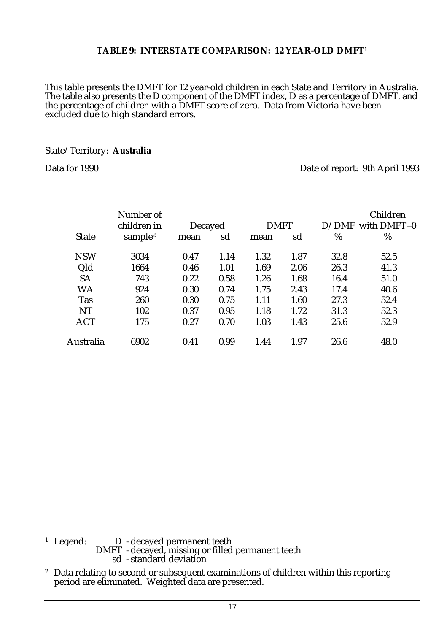#### **TABLE 9: INTERSTATE COMPARISON: 12 YEAR-OLD DMFT1**

This table presents the DMFT for 12 year-old children in each State and Territory in Australia. The table also presents the D component of the DMFT index, D as a percentage of DMFT, and the percentage of children with a DMFT score of zero. Data from Victoria have been excluded due to high standard errors.

#### State/Territory: **Australia**

Data for 1990 Date of report: 9th April 1993

|              | Number of           |         |      |             |      |       | Children      |
|--------------|---------------------|---------|------|-------------|------|-------|---------------|
|              | children in         | Decayed |      | <b>DMFT</b> |      | D/DMF | with $DMFT=0$ |
| <b>State</b> | sample <sup>2</sup> | mean    | sd   | mean        | sd   | %     | %             |
| <b>NSW</b>   | 3034                | 0.47    | 1.14 | 1.32        | 1.87 | 32.8  | 52.5          |
| Qld          | 1664                | 0.46    | 1.01 | 1.69        | 2.06 | 26.3  | 41.3          |
| <b>SA</b>    | 743                 | 0.22    | 0.58 | 1.26        | 1.68 | 16.4  | 51.0          |
| WA           | 924                 | 0.30    | 0.74 | 1.75        | 2.43 | 17.4  | 40.6          |
| <b>Tas</b>   | 260                 | 0.30    | 0.75 | 1.11        | 1.60 | 27.3  | 52.4          |
| NT           | 102                 | 0.37    | 0.95 | 1.18        | 1.72 | 31.3  | 52.3          |
| <b>ACT</b>   | 175                 | 0.27    | 0.70 | 1.03        | 1.43 | 25.6  | 52.9          |
| Australia    | 6902                | 0.41    | 0.99 | 1.44        | 1.97 | 26.6  | 48.0          |

<sup>1</sup> Legend: D - decayed permanent teeth DMFT - decayed, missing or filled permanent teeth sd - standard deviation

<sup>&</sup>lt;sup>2</sup> Data relating to second or subsequent examinations of children within this reporting period are eliminated. Weighted data are presented.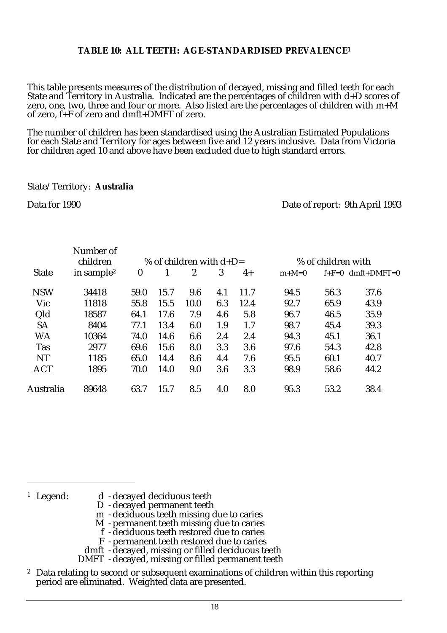#### **TABLE 10: ALL TEETH: AGE-STANDARDISED PREVALENCE1**

This table presents measures of the distribution of decayed, missing and filled teeth for each State and Territory in Australia. Indicated are the percentages of children with d+D scores of zero, one, two, three and four or more. Also listed are the percentages of children with m+M of zero, f+F of zero and dmft+DMFT of zero.

The number of children has been standardised using the Australian Estimated Populations for each State and Territory for ages between five and 12 years inclusive. Data from Victoria for children aged 10 and above have been excluded due to high standard errors.

#### State/Territory: **Australia**

Data for 1990 Date of report: 9th April 1993

|              | Number of<br>children  |          |      | % of children with $d+D=$ |     | % of children with |         |      |                             |
|--------------|------------------------|----------|------|---------------------------|-----|--------------------|---------|------|-----------------------------|
| <b>State</b> | in sample <sup>2</sup> | $\bf{0}$ |      | 2                         | 3   | $4+$               | $m+M=0$ |      | $f + F = 0$ dmft + DMFT = 0 |
| <b>NSW</b>   | 34418                  | 59.0     | 15.7 | 9.6                       | 4.1 | 11.7               | 94.5    | 56.3 | 37.6                        |
| Vic          | 11818                  | 55.8     | 15.5 | 10.0                      | 6.3 | 12.4               | 92.7    | 65.9 | 43.9                        |
| Qld          | 18587                  | 64.1     | 17.6 | 7.9                       | 4.6 | 5.8                | 96.7    | 46.5 | 35.9                        |
| <b>SA</b>    | 8404                   | 77.1     | 13.4 | 6.0                       | 1.9 | 1.7                | 98.7    | 45.4 | 39.3                        |
| <b>WA</b>    | 10364                  | 74.0     | 14.6 | 6.6                       | 2.4 | 2.4                | 94.3    | 45.1 | 36.1                        |
| <b>Tas</b>   | 2977                   | 69.6     | 15.6 | 8.0                       | 3.3 | 3.6                | 97.6    | 54.3 | 42.8                        |
| NT           | 1185                   | 65.0     | 14.4 | 8.6                       | 4.4 | 7.6                | 95.5    | 60.1 | 40.7                        |
| <b>ACT</b>   | 1895                   | 70.0     | 14.0 | 9.0                       | 3.6 | 3.3                | 98.9    | 58.6 | 44.2                        |
| Australia    | 89648                  | 63.7     | 15.7 | 8.5                       | 4.0 | 8.0                | 95.3    | 53.2 | 38.4                        |

- <sup>1</sup> Legend: d decayed deciduous teeth
	- D decayed permanent teeth
	- m deciduous teeth missing due to caries
	- M permanent teeth missing due to caries
	- f deciduous teeth restored due to caries
	- F permanent teeth restored due to caries
	- dmft decayed, missing or filled deciduous teeth
	- DMFT decayed, missing or filled permanent teeth
- <sup>2</sup> Data relating to second or subsequent examinations of children within this reporting period are eliminated. Weighted data are presented.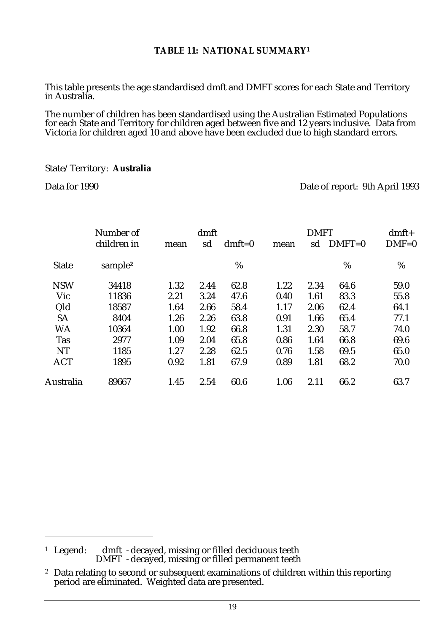#### **TABLE 11: NATIONAL SUMMARY1**

This table presents the age standardised dmft and DMFT scores for each State and Territory in Australia.

The number of children has been standardised using the Australian Estimated Populations for each State and Territory for children aged between five and 12 years inclusive. Data from Victoria for children aged 10 and above have been excluded due to high standard errors.

#### State/Territory: **Australia**

Data for 1990 Date of report: 9th April 1993

|              | Number of           |      | dmft |          |      | <b>DMFT</b> |          | $dmft+$ |  |
|--------------|---------------------|------|------|----------|------|-------------|----------|---------|--|
|              | children in         | mean | sd   | $dmft=0$ | mean | sd          | $DMFT=0$ | $DMF=0$ |  |
| <b>State</b> | sample <sup>2</sup> |      |      | %        |      |             | %        | %       |  |
| <b>NSW</b>   | 34418               | 1.32 | 2.44 | 62.8     | 1.22 | 2.34        | 64.6     | 59.0    |  |
| Vic          | 11836               | 2.21 | 3.24 | 47.6     | 0.40 | 1.61        | 83.3     | 55.8    |  |
| Qld          | 18587               | 1.64 | 2.66 | 58.4     | 1.17 | 2.06        | 62.4     | 64.1    |  |
| <b>SA</b>    | 8404                | 1.26 | 2.26 | 63.8     | 0.91 | 1.66        | 65.4     | 77.1    |  |
| <b>WA</b>    | 10364               | 1.00 | 1.92 | 66.8     | 1.31 | 2.30        | 58.7     | 74.0    |  |
| <b>Tas</b>   | 2977                | 1.09 | 2.04 | 65.8     | 0.86 | 1.64        | 66.8     | 69.6    |  |
| NT           | 1185                | 1.27 | 2.28 | 62.5     | 0.76 | 1.58        | 69.5     | 65.0    |  |
| <b>ACT</b>   | 1895                | 0.92 | 1.81 | 67.9     | 0.89 | 1.81        | 68.2     | 70.0    |  |
| Australia    | 89667               | 1.45 | 2.54 | 60.6     | 1.06 | 2.11        | 66.2     | 63.7    |  |

 $^{\rm 1}$   $\rm~Legend:$   $\rm~d$ mft  $\rm~$ -decayed, missing or filled deciduous teeth DMFT - decayed, missing or filled permanent teeth

<sup>&</sup>lt;sup>2</sup> Data relating to second or subsequent examinations of children within this reporting period are eliminated. Weighted data are presented.